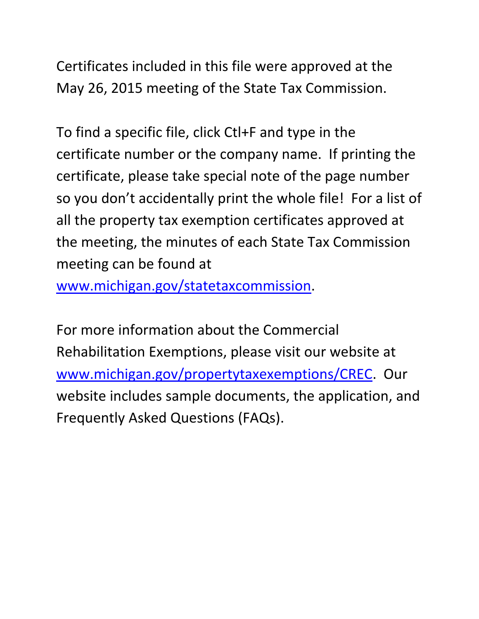Certificates included in this file were approved at the May 26, 2015 meeting of the State Tax Commission.

To find a specific file, click Ctl+F and type in the certificate number or the company name. If printing the certificate, please take special note of the page number so you don't accidentally print the whole file! For a list of all the property tax exemption certificates approved at the meeting, the minutes of each State Tax Commission meeting can be found at

www.michigan.gov/statetaxcommission.

For more information about the Commercial Rehabilitation Exemptions, please visit our website at www.michigan.gov/propertytaxexemptions/CREC. Our website includes sample documents, the application, and Frequently Asked Questions (FAQs).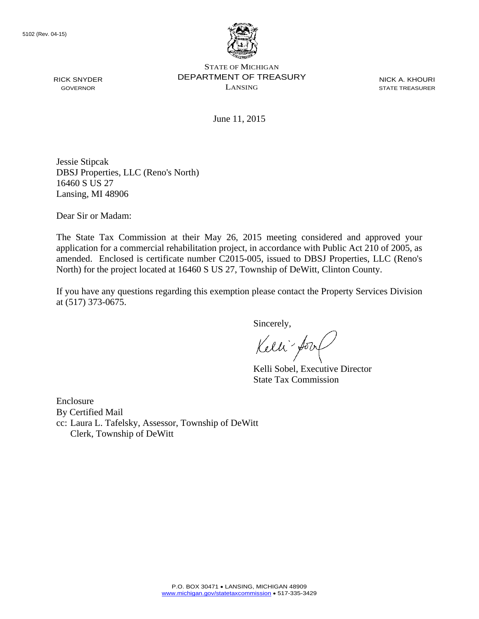

STATE OF MICHIGAN DEPARTMENT OF TREASURY LANSING

NICK A. KHOURI STATE TREASURER

June 11, 2015

Jessie Stipcak DBSJ Properties, LLC (Reno's North) 16460 S US 27 Lansing, MI 48906

Dear Sir or Madam:

The State Tax Commission at their May 26, 2015 meeting considered and approved your application for a commercial rehabilitation project, in accordance with Public Act 210 of 2005, as amended. Enclosed is certificate number C2015-005, issued to DBSJ Properties, LLC (Reno's North) for the project located at 16460 S US 27, Township of DeWitt, Clinton County.

If you have any questions regarding this exemption please contact the Property Services Division at (517) 373-0675.

Sincerely,

Kelli-Sorr

Kelli Sobel, Executive Director State Tax Commission

Enclosure By Certified Mail cc: Laura L. Tafelsky, Assessor, Township of DeWitt Clerk, Township of DeWitt

RICK SNYDER GOVERNOR